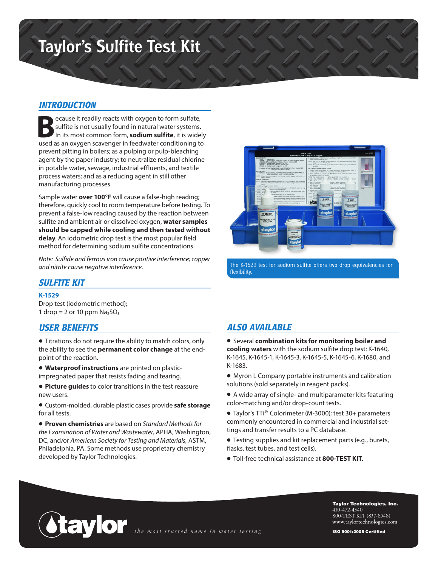# **Taylor's Sulfite Test Kit**

# *INTRODUCTION*

**B**ecause it readily reacts with oxygen to form sulfate, sulfite is not usually found in natural water systems. In its most common form, **sodium sulfite**, it is widely used as an oxygen scavenger in feedwater conditioning to prevent pitting in boilers; as a pulping or pulp-bleaching agent by the paper industry; to neutralize residual chlorine in potable water, sewage, industrial effluents, and textile process waters; and as a reducing agent in still other manufacturing processes.

Sample water **over 100°F** will cause a false-high reading; therefore, quickly cool to room temperature before testing. To prevent a false-low reading caused by the reaction between sulfite and ambient air or dissolved oxygen, **water samples should be capped while cooling and then tested without delay**. An iodometric drop test is the most popular field method for determining sodium sulfite concentrations.

*Note: Sulfide and ferrous iron cause positive interference; copper and nitrite cause negative interference.*

# R-0638W **Ata**

The K-1529 test for sodium sulfite offers two drop equivalencies for flexibility.

### *SULFITE KIT*

#### **K-1529**

Drop test (iodometric method); 1 drop = 2 or 10 ppm  $Na<sub>2</sub>SO<sub>3</sub>$ 

## *USER BENEFITS*

• Titrations do not require the ability to match colors, only the ability to see the **permanent color change** at the endpoint of the reaction.

• **Waterproof instructions** are printed on plasticimpregnated paper that resists fading and tearing.

• **Picture guides** to color transitions in the test reassure new users.

• Custom-molded, durable plastic cases provide **safe storage** for all tests.

• **Proven chemistries** are based on *Standard Methods for the Examination of Water and Wastewater,* APHA, Washington, DC, and/or *American Society for Testing and Materials,* ASTM, Philadelphia, PA. Some methods use proprietary chemistry developed by Taylor Technologies.

# *ALSO AVAILABLE*

• Several **combination kits for monitoring boiler and cooling waters** with the sodium sulfite drop test: K-1640, K-1645, K-1645-1, K-1645-3, K-1645-5, K-1645-6, K-1680, and K-1683.

- Myron L Company portable instruments and calibration solutions (sold separately in reagent packs).
- A wide array of single- and multiparameter kits featuring color-matching and/or drop-count tests.
- Taylor's TTi® Colorimeter (M-3000); test 30+ parameters commonly encountered in commercial and industrial settings and transfer results to a PC database.
- Testing supplies and kit replacement parts (e.g., burets, flasks, test tubes, and test cells).
- Toll-free technical assistance at **800-TEST KIT**.



Taylor Technologies, Inc. 410-472-4340 800-TEST KIT (837-8548) www.taylortechnologies.com

ISO 9001:2008 Certified